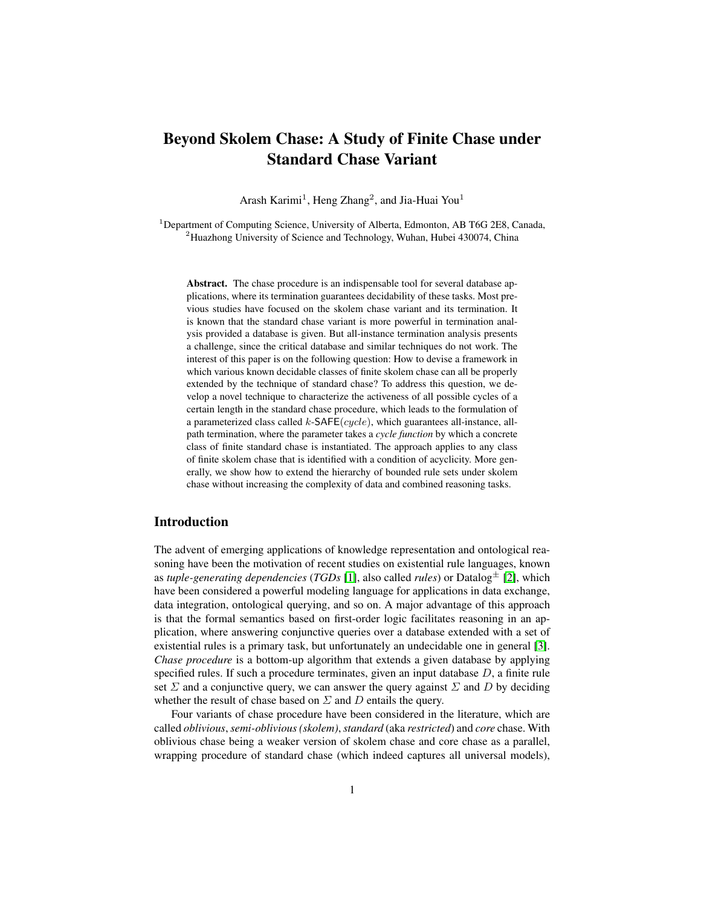# Beyond Skolem Chase: A Study of Finite Chase under Standard Chase Variant

Arash Karimi<sup>1</sup>, Heng Zhang<sup>2</sup>, and Jia-Huai You<sup>1</sup>

<sup>1</sup>Department of Computing Science, University of Alberta, Edmonton, AB T6G 2E8, Canada,  $2$ Huazhong University of Science and Technology, Wuhan, Hubei 430074, China

Abstract. The chase procedure is an indispensable tool for several database applications, where its termination guarantees decidability of these tasks. Most previous studies have focused on the skolem chase variant and its termination. It is known that the standard chase variant is more powerful in termination analysis provided a database is given. But all-instance termination analysis presents a challenge, since the critical database and similar techniques do not work. The interest of this paper is on the following question: How to devise a framework in which various known decidable classes of finite skolem chase can all be properly extended by the technique of standard chase? To address this question, we develop a novel technique to characterize the activeness of all possible cycles of a certain length in the standard chase procedure, which leads to the formulation of a parameterized class called  $k$ -SAFE(cycle), which guarantees all-instance, allpath termination, where the parameter takes a *cycle function* by which a concrete class of finite standard chase is instantiated. The approach applies to any class of finite skolem chase that is identified with a condition of acyclicity. More generally, we show how to extend the hierarchy of bounded rule sets under skolem chase without increasing the complexity of data and combined reasoning tasks.

# Introduction

The advent of emerging applications of knowledge representation and ontological reasoning have been the motivation of recent studies on existential rule languages, known as *tuple-generating dependencies* (*TGDs* [\[1\]](#page-11-0), also called *rules*) or Datalog<sup>±</sup> [\[2\]](#page-11-1), which have been considered a powerful modeling language for applications in data exchange, data integration, ontological querying, and so on. A major advantage of this approach is that the formal semantics based on first-order logic facilitates reasoning in an application, where answering conjunctive queries over a database extended with a set of existential rules is a primary task, but unfortunately an undecidable one in general [\[3\]](#page-11-2). *Chase procedure* is a bottom-up algorithm that extends a given database by applying specified rules. If such a procedure terminates, given an input database D, a finite rule set  $\Sigma$  and a conjunctive query, we can answer the query against  $\Sigma$  and  $D$  by deciding whether the result of chase based on  $\Sigma$  and  $D$  entails the query.

Four variants of chase procedure have been considered in the literature, which are called *oblivious*,*semi-oblivious (skolem)*,*standard* (aka *restricted*) and *core* chase. With oblivious chase being a weaker version of skolem chase and core chase as a parallel, wrapping procedure of standard chase (which indeed captures all universal models),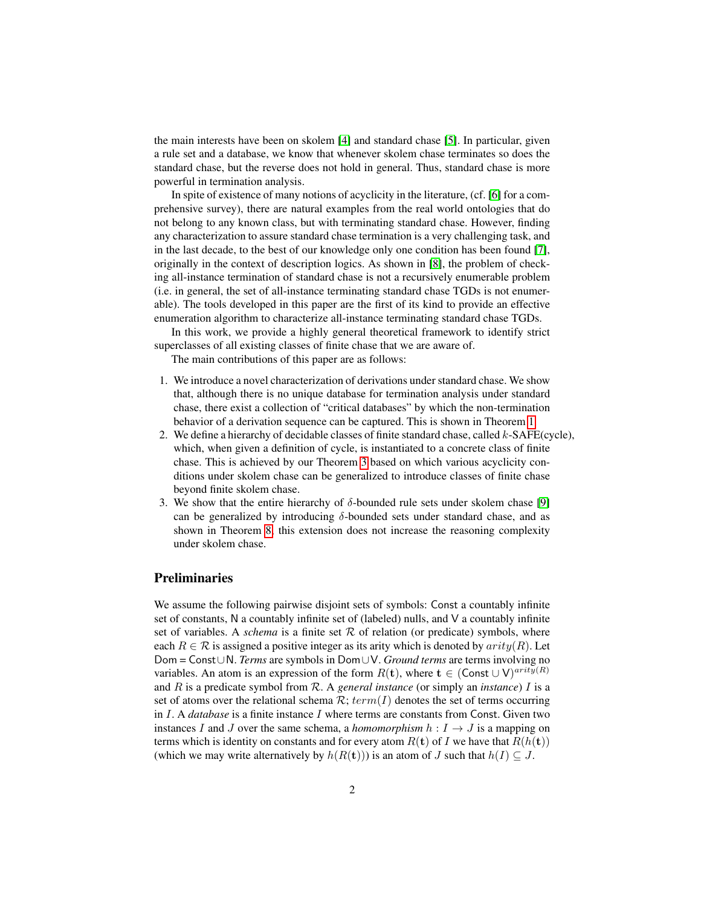the main interests have been on skolem [\[4\]](#page-11-3) and standard chase [\[5\]](#page-11-4). In particular, given a rule set and a database, we know that whenever skolem chase terminates so does the standard chase, but the reverse does not hold in general. Thus, standard chase is more powerful in termination analysis.

In spite of existence of many notions of acyclicity in the literature, (cf. [\[6\]](#page-11-5) for a comprehensive survey), there are natural examples from the real world ontologies that do not belong to any known class, but with terminating standard chase. However, finding any characterization to assure standard chase termination is a very challenging task, and in the last decade, to the best of our knowledge only one condition has been found [\[7\]](#page-11-6), originally in the context of description logics. As shown in [\[8\]](#page-11-7), the problem of checking all-instance termination of standard chase is not a recursively enumerable problem (i.e. in general, the set of all-instance terminating standard chase TGDs is not enumerable). The tools developed in this paper are the first of its kind to provide an effective enumeration algorithm to characterize all-instance terminating standard chase TGDs.

In this work, we provide a highly general theoretical framework to identify strict superclasses of all existing classes of finite chase that we are aware of.

The main contributions of this paper are as follows:

- 1. We introduce a novel characterization of derivations under standard chase. We show that, although there is no unique database for termination analysis under standard chase, there exist a collection of "critical databases" by which the non-termination behavior of a derivation sequence can be captured. This is shown in Theorem [1.](#page-7-0)
- 2. We define a hierarchy of decidable classes of finite standard chase, called  $k$ -SAFE(cycle), which, when given a definition of cycle, is instantiated to a concrete class of finite chase. This is achieved by our Theorem [3](#page-7-1) based on which various acyclicity conditions under skolem chase can be generalized to introduce classes of finite chase beyond finite skolem chase.
- 3. We show that the entire hierarchy of  $\delta$ -bounded rule sets under skolem chase [\[9\]](#page-11-8) can be generalized by introducing  $\delta$ -bounded sets under standard chase, and as shown in Theorem [8,](#page-9-0) this extension does not increase the reasoning complexity under skolem chase.

#### **Preliminaries**

We assume the following pairwise disjoint sets of symbols: Const a countably infinite set of constants, N a countably infinite set of (labeled) nulls, and V a countably infinite set of variables. A *schema* is a finite set  $R$  of relation (or predicate) symbols, where each  $R \in \mathcal{R}$  is assigned a positive integer as its arity which is denoted by  $arity(R)$ . Let Dom = Const∪N. *Terms* are symbols in Dom∪V. *Ground terms* are terms involving no variables. An atom is an expression of the form  $R(t)$ , where  $t \in (Const \cup V)^{arity(R)}$ and R is a predicate symbol from R. A *general instance* (or simply an *instance*) I is a set of atoms over the relational schema  $\mathcal{R}$ ;  $term(I)$  denotes the set of terms occurring in I. A *database* is a finite instance I where terms are constants from Const. Given two instances I and J over the same schema, a *homomorphism*  $h : I \to J$  is a mapping on terms which is identity on constants and for every atom  $R(t)$  of I we have that  $R(h(t))$ (which we may write alternatively by  $h(R(t))$ ) is an atom of J such that  $h(I) \subseteq J$ .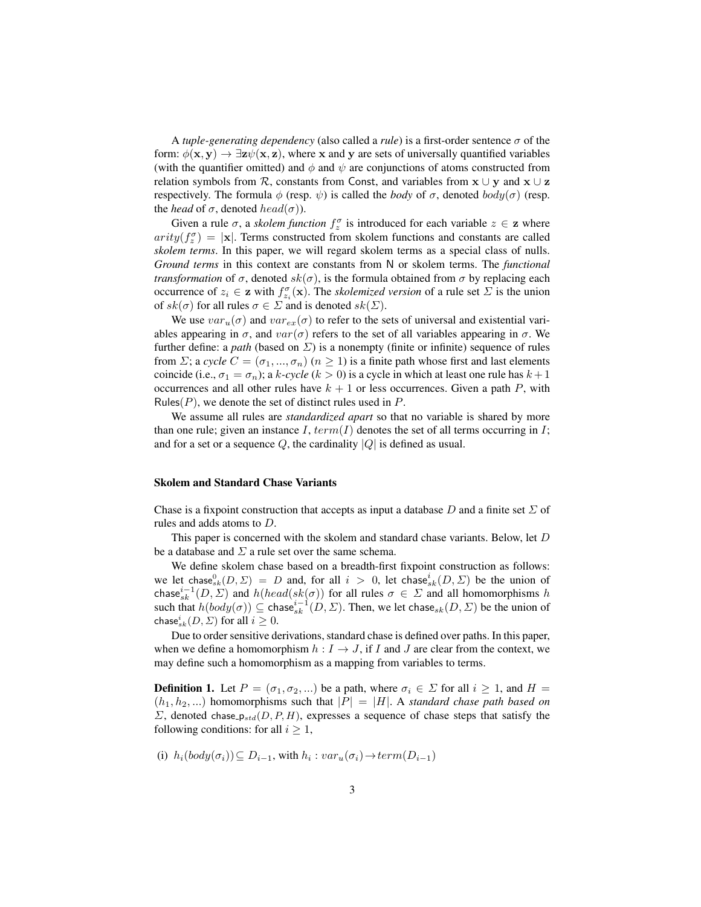A *tuple-generating dependency* (also called a *rule*) is a first-order sentence  $\sigma$  of the form:  $\phi(\mathbf{x}, \mathbf{y}) \rightarrow \exists \mathbf{z} \psi(\mathbf{x}, \mathbf{z})$ , where x and y are sets of universally quantified variables (with the quantifier omitted) and  $\phi$  and  $\psi$  are conjunctions of atoms constructed from relation symbols from  $\mathcal{R}$ , constants from Const, and variables from  $\mathbf{x} \cup \mathbf{y}$  and  $\mathbf{x} \cup \mathbf{z}$ respectively. The formula  $\phi$  (resp.  $\psi$ ) is called the *body* of  $\sigma$ , denoted  $body(\sigma)$  (resp. the *head* of  $\sigma$ , denoted *head*( $\sigma$ )).

Given a rule  $\sigma$ , a *skolem function*  $f_z^{\sigma}$  is introduced for each variable  $z \in \mathbf{z}$  where  $arity(f_z^{\sigma}) = |\mathbf{x}|$ . Terms constructed from skolem functions and constants are called *skolem terms*. In this paper, we will regard skolem terms as a special class of nulls. *Ground terms* in this context are constants from N or skolem terms. The *functional transformation* of  $\sigma$ , denoted  $sk(\sigma)$ , is the formula obtained from  $\sigma$  by replacing each occurrence of  $z_i \in \mathbf{z}$  with  $f_{z_i}^{\sigma}(\mathbf{x})$ . The *skolemized version* of a rule set  $\Sigma$  is the union of  $sk(\sigma)$  for all rules  $\sigma \in \Sigma$  and is denoted  $sk(\Sigma)$ .

We use  $var_u(\sigma)$  and  $var_{ex}(\sigma)$  to refer to the sets of universal and existential variables appearing in  $\sigma$ , and  $var(\sigma)$  refers to the set of all variables appearing in  $\sigma$ . We further define: a *path* (based on  $\Sigma$ ) is a nonempty (finite or infinite) sequence of rules from *Σ*; a *cycle*  $C = (\sigma_1, ..., \sigma_n)$  ( $n \ge 1$ ) is a finite path whose first and last elements coincide (i.e.,  $\sigma_1 = \sigma_n$ ); a k-cycle (k > 0) is a cycle in which at least one rule has  $k+1$ occurrences and all other rules have  $k + 1$  or less occurrences. Given a path P, with Rules( $P$ ), we denote the set of distinct rules used in  $P$ .

We assume all rules are *standardized apart* so that no variable is shared by more than one rule; given an instance  $I$ ,  $term(I)$  denotes the set of all terms occurring in  $I$ ; and for a set or a sequence  $Q$ , the cardinality  $|Q|$  is defined as usual.

#### Skolem and Standard Chase Variants

Chase is a fixpoint construction that accepts as input a database D and a finite set  $\Sigma$  of rules and adds atoms to D.

This paper is concerned with the skolem and standard chase variants. Below, let D be a database and  $\Sigma$  a rule set over the same schema.

We define skolem chase based on a breadth-first fixpoint construction as follows: we let chase  $\int_{0}^{0}$ ,  $(D, \Sigma) = D$  and, for all  $i > 0$ , let chase  $\int_{0}^{i}$ ,  $(D, \Sigma)$  be the union of chase $i=1}^{i-1}(D, \Sigma)$  and  $h(head(sk(\sigma))$  for all rules  $\sigma \in \Sigma$  and all homomorphisms h such that  $h(body(\sigma)) \subseteq \text{chase}_{sk}^{i-1}(D, \Sigma)$ . Then, we let chase<sub>sk</sub> $(D, \Sigma)$  be the union of chase ${}_{sk}^{i}(D, \Sigma)$  for all  $i \geq 0$ .

Due to order sensitive derivations, standard chase is defined over paths. In this paper, when we define a homomorphism  $h : I \to J$ , if I and J are clear from the context, we may define such a homomorphism as a mapping from variables to terms.

<span id="page-2-0"></span>**Definition 1.** Let  $P = (\sigma_1, \sigma_2, ...)$  be a path, where  $\sigma_i \in \Sigma$  for all  $i \ge 1$ , and  $H =$  $(h_1, h_2, ...)$  homomorphisms such that  $|P| = |H|$ . A *standard chase path based on*  $\Sigma$ , denoted chase  $p_{std}(D, P, H)$ , expresses a sequence of chase steps that satisfy the following conditions: for all  $i \geq 1$ ,

(i) 
$$
h_i(body(\sigma_i)) \subseteq D_{i-1}
$$
, with  $h_i : var_u(\sigma_i) \rightarrow term(D_{i-1})$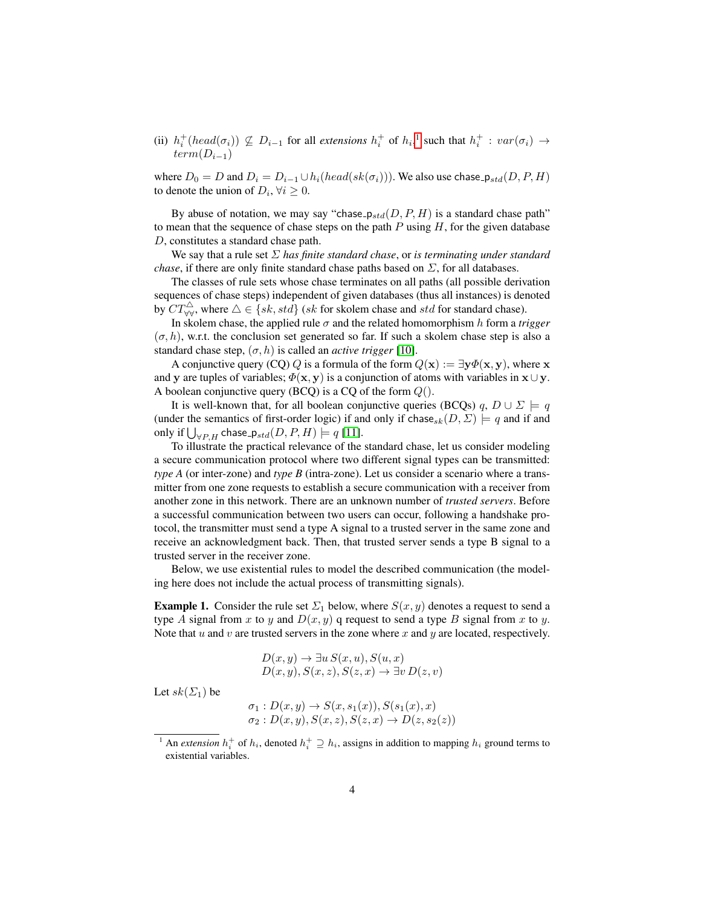(ii)  $h_i^+(head(\sigma_i)) \nsubseteq D_{i-1}$  $h_i^+(head(\sigma_i)) \nsubseteq D_{i-1}$  $h_i^+(head(\sigma_i)) \nsubseteq D_{i-1}$  for all *extensions*  $h_i^+$  of  $h_i$ ,<sup>1</sup> such that  $h_i^+ : var(\sigma_i) \rightarrow$  $term(D_{i-1})$ 

where  $D_0 = D$  and  $D_i = D_{i-1} \cup h_i(head(sk(\sigma_i)))$ . We also use chase  $p_{std}(D, P, H)$ to denote the union of  $D_i$ ,  $\forall i \geq 0$ .

By abuse of notation, we may say "chase  $p_{std}(D, P, H)$  is a standard chase path" to mean that the sequence of chase steps on the path  $P$  using  $H$ , for the given database D, constitutes a standard chase path.

We say that a rule set Σ *has finite standard chase*, or *is terminating under standard chase*, if there are only finite standard chase paths based on  $\Sigma$ , for all databases.

The classes of rule sets whose chase terminates on all paths (all possible derivation sequences of chase steps) independent of given databases (thus all instances) is denoted by  $CT_{\forall\forall}^{\triangle}$ , where  $\triangle \in \{sk, std\}$  (sk for skolem chase and std for standard chase).

In skolem chase, the applied rule  $\sigma$  and the related homomorphism h form a *trigger*  $(\sigma, h)$ , w.r.t. the conclusion set generated so far. If such a skolem chase step is also a standard chase step,  $(\sigma, h)$  is called an *active trigger* [\[10\]](#page-11-9).

A conjunctive query (CQ) Q is a formula of the form  $Q(x) := \exists y \Phi(x, y)$ , where x and y are tuples of variables;  $\Phi(\mathbf{x}, \mathbf{y})$  is a conjunction of atoms with variables in  $\mathbf{x} \cup \mathbf{y}$ . A boolean conjunctive query (BCQ) is a CQ of the form  $Q()$ .

It is well-known that, for all boolean conjunctive queries (BCQs) q,  $D \cup \Sigma = q$ (under the semantics of first-order logic) if and only if chase<sub>sk</sub> $(D, \Sigma) \models q$  and if and only if  $\bigcup_{\forall P,H}$  chase<sub>-Pstd</sub> $(D, P, H) \models q$  [\[11\]](#page-11-10).

To illustrate the practical relevance of the standard chase, let us consider modeling a secure communication protocol where two different signal types can be transmitted: *type A* (or inter-zone) and *type B* (intra-zone). Let us consider a scenario where a transmitter from one zone requests to establish a secure communication with a receiver from another zone in this network. There are an unknown number of *trusted servers*. Before a successful communication between two users can occur, following a handshake protocol, the transmitter must send a type A signal to a trusted server in the same zone and receive an acknowledgment back. Then, that trusted server sends a type B signal to a trusted server in the receiver zone.

Below, we use existential rules to model the described communication (the modeling here does not include the actual process of transmitting signals).

<span id="page-3-1"></span>**Example 1.** Consider the rule set  $\Sigma_1$  below, where  $S(x, y)$  denotes a request to send a type A signal from x to y and  $D(x, y)$  q request to send a type B signal from x to y. Note that  $u$  and  $v$  are trusted servers in the zone where  $x$  and  $y$  are located, respectively.

$$
D(x, y) \to \exists u S(x, u), S(u, x)
$$
  

$$
D(x, y), S(x, z), S(z, x) \to \exists v D(z, v)
$$

Let  $sk(\Sigma_1)$  be

$$
\sigma_1: D(x,y) \to S(x, s_1(x)), S(s_1(x), x)
$$
  

$$
\sigma_2: D(x,y), S(x,z), S(z,x) \to D(z, s_2(z))
$$

<span id="page-3-0"></span><sup>&</sup>lt;sup>1</sup> An *extension*  $h_i^+$  of  $h_i$ , denoted  $h_i^+ \supseteq h_i$ , assigns in addition to mapping  $h_i$  ground terms to existential variables.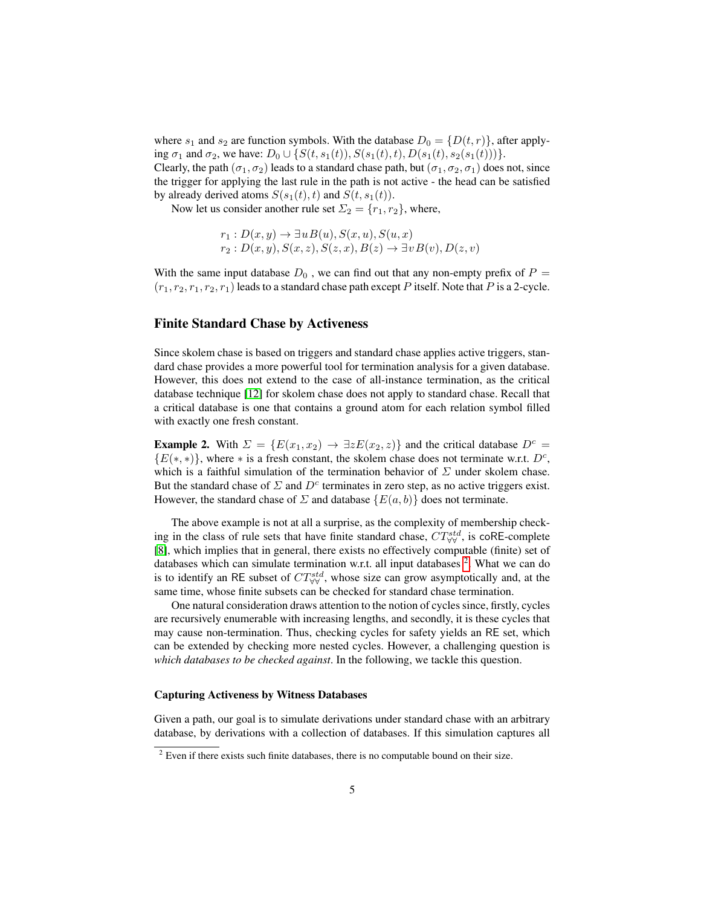where  $s_1$  and  $s_2$  are function symbols. With the database  $D_0 = \{D(t, r)\}\,$  after applying  $\sigma_1$  and  $\sigma_2$ , we have:  $D_0 \cup \{S(t, s_1(t)), S(s_1(t), t), D(s_1(t), s_2(s_1(t)))\}.$ 

Clearly, the path  $(\sigma_1, \sigma_2)$  leads to a standard chase path, but  $(\sigma_1, \sigma_2, \sigma_1)$  does not, since the trigger for applying the last rule in the path is not active - the head can be satisfied by already derived atoms  $S(s_1(t), t)$  and  $S(t, s_1(t))$ .

Now let us consider another rule set  $\Sigma_2 = \{r_1, r_2\}$ , where,

$$
r_1: D(x,y) \to \exists u B(u), S(x,u), S(u,x)
$$
  

$$
r_2: D(x,y), S(x,z), S(z,x), B(z) \to \exists v B(v), D(z,v)
$$

With the same input database  $D_0$ , we can find out that any non-empty prefix of  $P =$  $(r_1, r_2, r_1, r_2, r_1)$  leads to a standard chase path except P itself. Note that P is a 2-cycle.

### Finite Standard Chase by Activeness

Since skolem chase is based on triggers and standard chase applies active triggers, standard chase provides a more powerful tool for termination analysis for a given database. However, this does not extend to the case of all-instance termination, as the critical database technique [\[12\]](#page-11-11) for skolem chase does not apply to standard chase. Recall that a critical database is one that contains a ground atom for each relation symbol filled with exactly one fresh constant.

**Example 2.** With  $\Sigma = \{E(x_1, x_2) \rightarrow \exists z E(x_2, z)\}\$  and the critical database  $D^c =$  ${E(*, *)}$ , where \* is a fresh constant, the skolem chase does not terminate w.r.t.  $D^c$ , which is a faithful simulation of the termination behavior of  $\Sigma$  under skolem chase. But the standard chase of  $\Sigma$  and  $D^c$  terminates in zero step, as no active triggers exist. However, the standard chase of  $\Sigma$  and database  $\{E(a, b)\}\$  does not terminate.

The above example is not at all a surprise, as the complexity of membership checking in the class of rule sets that have finite standard chase,  $CT_{\forall\forall}^{std}$ , is coRE-complete [\[8\]](#page-11-7), which implies that in general, there exists no effectively computable (finite) set of databases which can simulate termination w.r.t. all input databases <sup>[2](#page-4-0)</sup>. What we can do is to identify an RE subset of  $CT^{std}_{\forall\forall}$ , whose size can grow asymptotically and, at the same time, whose finite subsets can be checked for standard chase termination.

One natural consideration draws attention to the notion of cycles since, firstly, cycles are recursively enumerable with increasing lengths, and secondly, it is these cycles that may cause non-termination. Thus, checking cycles for safety yields an RE set, which can be extended by checking more nested cycles. However, a challenging question is *which databases to be checked against*. In the following, we tackle this question.

#### Capturing Activeness by Witness Databases

Given a path, our goal is to simulate derivations under standard chase with an arbitrary database, by derivations with a collection of databases. If this simulation captures all

<span id="page-4-0"></span> $2$  Even if there exists such finite databases, there is no computable bound on their size.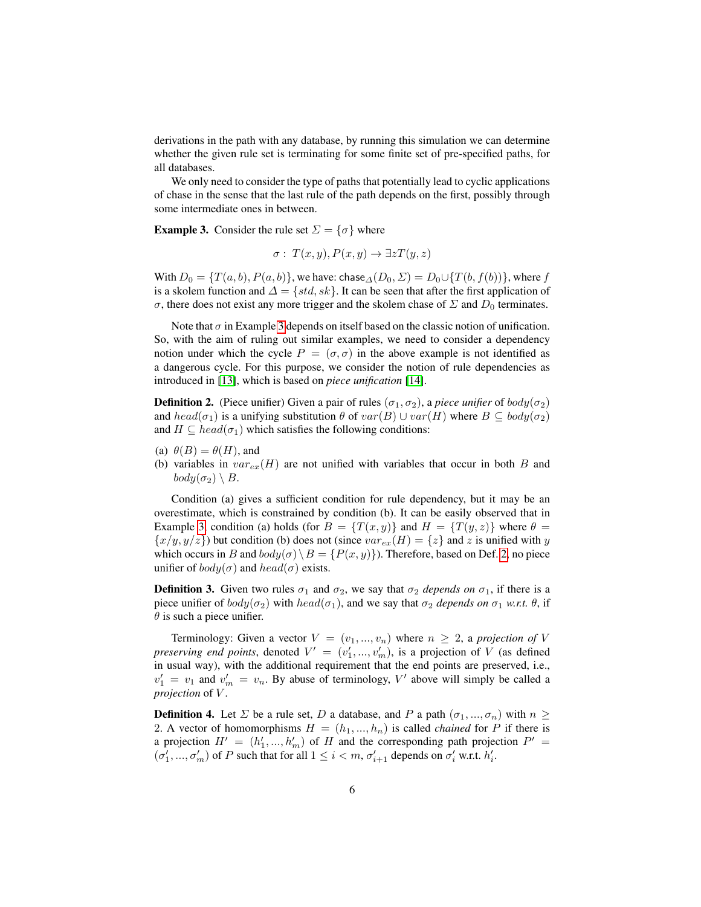derivations in the path with any database, by running this simulation we can determine whether the given rule set is terminating for some finite set of pre-specified paths, for all databases.

We only need to consider the type of paths that potentially lead to cyclic applications of chase in the sense that the last rule of the path depends on the first, possibly through some intermediate ones in between.

<span id="page-5-0"></span>**Example 3.** Consider the rule set  $\Sigma = \{\sigma\}$  where

$$
\sigma: T(x, y), P(x, y) \to \exists z T(y, z)
$$

With  $D_0 = \{T(a, b), P(a, b)\}\$ , we have: chase $\Delta(D_0, \Sigma) = D_0 \cup \{T(b, f(b))\}\$ , where f is a skolem function and  $\Delta = \{std, sk\}$ . It can be seen that after the first application of σ, there does not exist any more trigger and the skolem chase of  $\Sigma$  and  $D_0$  terminates.

Note that  $\sigma$  in Example [3](#page-5-0) depends on itself based on the classic notion of unification. So, with the aim of ruling out similar examples, we need to consider a dependency notion under which the cycle  $P = (\sigma, \sigma)$  in the above example is not identified as a dangerous cycle. For this purpose, we consider the notion of rule dependencies as introduced in [\[13\]](#page-11-12), which is based on *piece unification* [\[14\]](#page-11-13).

<span id="page-5-1"></span>**Definition 2.** (Piece unifier) Given a pair of rules  $(\sigma_1, \sigma_2)$ , a *piece unifier* of  $body(\sigma_2)$ and  $head(\sigma_1)$  is a unifying substitution  $\theta$  of  $var(B) \cup var(H)$  where  $B \subseteq body(\sigma_2)$ and  $H \subseteq head(\sigma_1)$  which satisfies the following conditions:

- (a)  $\theta(B) = \theta(H)$ , and
- (b) variables in  $var_{ex}(H)$  are not unified with variables that occur in both B and  $body(\sigma_2) \setminus B$ .

Condition (a) gives a sufficient condition for rule dependency, but it may be an overestimate, which is constrained by condition (b). It can be easily observed that in Example [3,](#page-5-0) condition (a) holds (for  $B = \{T(x, y)\}\$  and  $H = \{T(y, z)\}\$  where  $\theta =$  $\{x/y, y/z\}$  but condition (b) does not (since  $var_{ex}(H) = \{z\}$  and z is unified with y which occurs in B and  $body(\sigma) \ B = \{P(x, y)\}\)$ . Therefore, based on Def. [2,](#page-5-1) no piece unifier of  $body(\sigma)$  and  $head(\sigma)$  exists.

**Definition 3.** Given two rules  $\sigma_1$  and  $\sigma_2$ , we say that  $\sigma_2$  *depends on*  $\sigma_1$ , if there is a piece unifier of  $body(\sigma_2)$  with  $head(\sigma_1)$ , and we say that  $\sigma_2$  *depends on*  $\sigma_1$  *w.r.t.*  $\theta$ , if  $\theta$  is such a piece unifier.

Terminology: Given a vector  $V = (v_1, ..., v_n)$  where  $n \geq 2$ , a *projection of* V *preserving end points*, denoted  $V' = (v'_1, ..., v'_m)$ , is a projection of V (as defined in usual way), with the additional requirement that the end points are preserved, i.e.,  $v'_1 = v_1$  and  $v'_m = v_n$ . By abuse of terminology, V' above will simply be called a *projection* of *V*.

**Definition 4.** Let  $\Sigma$  be a rule set, D a database, and P a path  $(\sigma_1, ..., \sigma_n)$  with  $n \geq$ 2. A vector of homomorphisms  $H = (h_1, ..., h_n)$  is called *chained* for P if there is a projection  $H' = (h'_1, ..., h'_m)$  of H and the corresponding path projection  $P' =$  $(\sigma'_1, ..., \sigma'_m)$  of P such that for all  $1 \leq i < m$ ,  $\sigma'_{i+1}$  depends on  $\sigma'_i$  w.r.t.  $h'_i$ .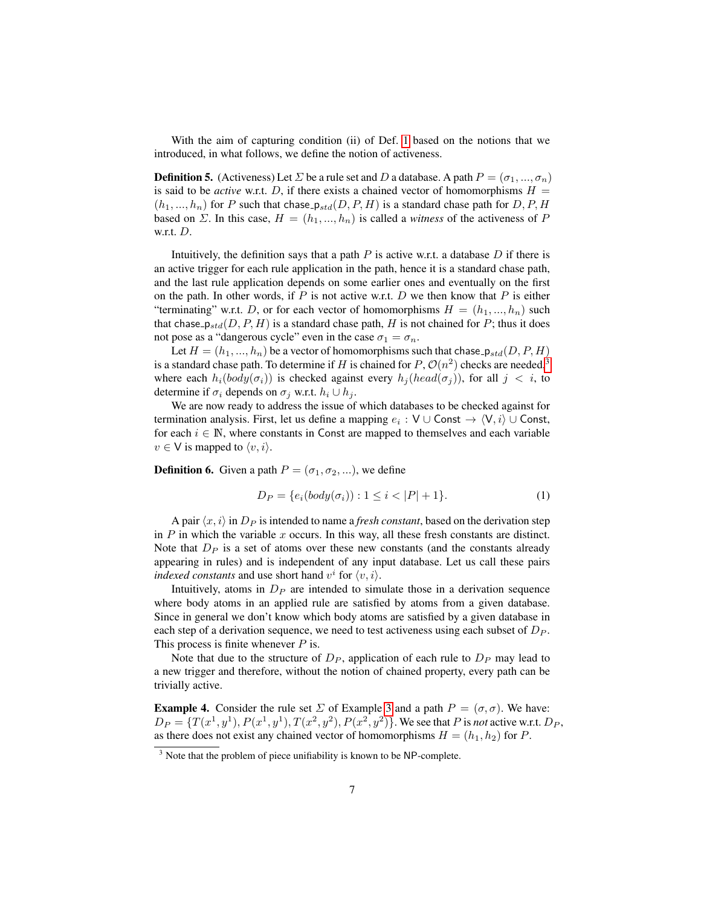With the aim of capturing condition (ii) of Def. [1](#page-2-0) based on the notions that we introduced, in what follows, we define the notion of activeness.

**Definition 5.** (Activeness) Let  $\Sigma$  be a rule set and D a database. A path  $P = (\sigma_1, ..., \sigma_n)$ is said to be *active* w.r.t. D, if there exists a chained vector of homomorphisms  $H =$  $(h_1, ..., h_n)$  for P such that chase  $p_{std}(D, P, H)$  is a standard chase path for D, P, H based on  $\Sigma$ . In this case,  $H = (h_1, ..., h_n)$  is called a *witness* of the activeness of P w.r.t. D.

Intuitively, the definition says that a path  $P$  is active w.r.t. a database  $D$  if there is an active trigger for each rule application in the path, hence it is a standard chase path, and the last rule application depends on some earlier ones and eventually on the first on the path. In other words, if  $P$  is not active w.r.t.  $D$  we then know that  $P$  is either "terminating" w.r.t. D, or for each vector of homomorphisms  $H = (h_1, ..., h_n)$  such that chase  $p_{std}(D, P, H)$  is a standard chase path, H is not chained for P; thus it does not pose as a "dangerous cycle" even in the case  $\sigma_1 = \sigma_n$ .

Let  $H = (h_1, ..., h_n)$  be a vector of homomorphisms such that chase  $p_{std}(D, P, H)$ is a standard chase path. To determine if H is chained for  $P$ ,  $\mathcal{O}(n^2)$  checks are needed,<sup>[3](#page-6-0)</sup> where each  $h_i(body(\sigma_i))$  is checked against every  $h_i(head(\sigma_i))$ , for all  $j < i$ , to determine if  $\sigma_i$  depends on  $\sigma_j$  w.r.t.  $h_i \cup h_j$ .

We are now ready to address the issue of which databases to be checked against for termination analysis. First, let us define a mapping  $e_i : V \cup Const \rightarrow \langle V, i \rangle \cup Const$ , for each  $i \in \mathbb{N}$ , where constants in Const are mapped to themselves and each variable  $v \in V$  is mapped to  $\langle v, i \rangle$ .

**Definition 6.** Given a path  $P = (\sigma_1, \sigma_2, ...)$ , we define

$$
D_P = \{e_i(body(\sigma_i)) : 1 \le i < |P| + 1\}.\tag{1}
$$

A pair  $\langle x, i \rangle$  in  $D_P$  is intended to name a *fresh constant*, based on the derivation step in  $P$  in which the variable  $x$  occurs. In this way, all these fresh constants are distinct. Note that  $D<sub>P</sub>$  is a set of atoms over these new constants (and the constants already appearing in rules) and is independent of any input database. Let us call these pairs *indexed constants* and use short hand  $v^i$  for  $\langle v, i \rangle$ .

Intuitively, atoms in  $D<sub>P</sub>$  are intended to simulate those in a derivation sequence where body atoms in an applied rule are satisfied by atoms from a given database. Since in general we don't know which body atoms are satisfied by a given database in each step of a derivation sequence, we need to test activeness using each subset of  $D<sub>P</sub>$ . This process is finite whenever  $P$  is.

Note that due to the structure of  $D_P$ , application of each rule to  $D_P$  may lead to a new trigger and therefore, without the notion of chained property, every path can be trivially active.

**Example 4.** Consider the rule set  $\Sigma$  of Example [3](#page-5-0) and a path  $P = (\sigma, \sigma)$ . We have:  $D_P = \{T(x^1, y^1), P(x^1, y^1), T(x^2, y^2), P(x^2, y^2)\}$ . We see that P is *not* active w.r.t.  $D_P$ , as there does not exist any chained vector of homomorphisms  $H = (h_1, h_2)$  for P.

<span id="page-6-0"></span> $3$  Note that the problem of piece unifiability is known to be NP-complete.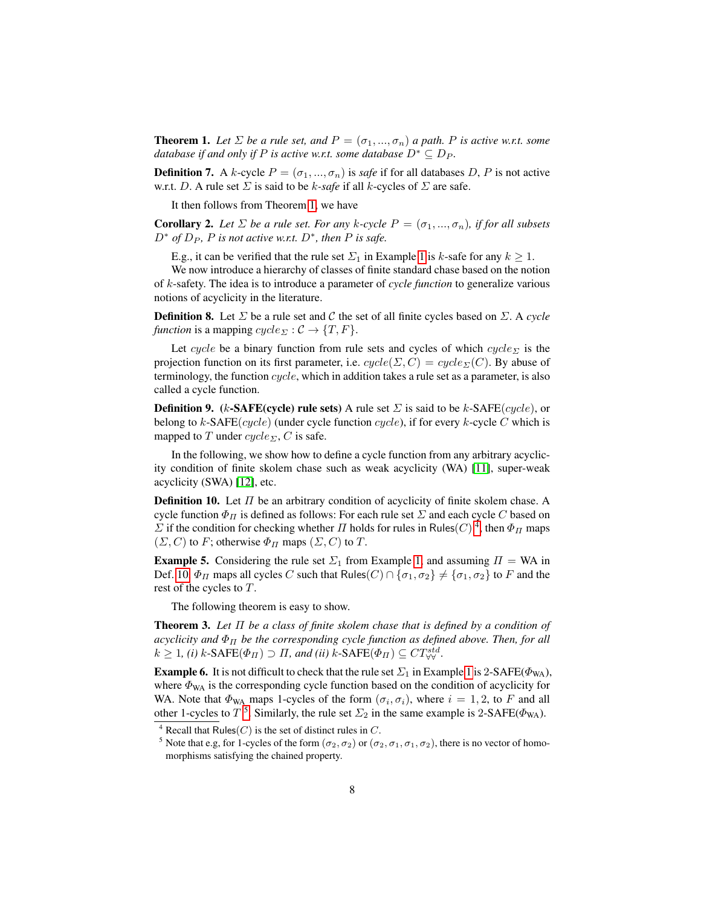<span id="page-7-0"></span>**Theorem 1.** Let  $\Sigma$  be a rule set, and  $P = (\sigma_1, ..., \sigma_n)$  a path. P is active w.r.t. some *database if and only if* P *is active w.r.t. some database*  $D^* \subseteq D_P$ *.* 

**Definition 7.** A k-cycle  $P = (\sigma_1, ..., \sigma_n)$  is *safe* if for all databases D, P is not active w.r.t. D. A rule set  $\Sigma$  is said to be k-safe if all k-cycles of  $\Sigma$  are safe.

It then follows from Theorem [1,](#page-7-0) we have

**Corollary 2.** Let  $\Sigma$  be a rule set. For any k-cycle  $P = (\sigma_1, ..., \sigma_n)$ , if for all subsets  $D^*$  *of*  $D_P$ ,  $P$  *is not active w.r.t.*  $D^*$ *, then*  $P$  *is safe.* 

E.g., it can be verified that the rule set  $\Sigma_1$  in Example [1](#page-3-1) is k-safe for any  $k \geq 1$ .

We now introduce a hierarchy of classes of finite standard chase based on the notion of k-safety. The idea is to introduce a parameter of *cycle function* to generalize various notions of acyclicity in the literature.

<span id="page-7-5"></span>**Definition 8.** Let  $\Sigma$  be a rule set and C the set of all finite cycles based on  $\Sigma$ . A *cycle function* is a mapping  $cycle_{\Sigma}: \mathcal{C} \rightarrow \{T, F\}.$ 

Let cycle be a binary function from rule sets and cycles of which cycle<sub> $\bar{\Sigma}$ </sub> is the projection function on its first parameter, i.e.  $cycle(\Sigma, C) = cycle_{\Sigma}(C)$ . By abuse of terminology, the function cycle, which in addition takes a rule set as a parameter, is also called a cycle function.

**Definition 9.** (k-SAFE(cycle) rule sets) A rule set  $\Sigma$  is said to be k-SAFE(cycle), or belong to  $k$ -SAFE(cycle) (under cycle function cycle), if for every  $k$ -cycle C which is mapped to T under  $cycle_{\Sigma}$ , C is safe.

In the following, we show how to define a cycle function from any arbitrary acyclicity condition of finite skolem chase such as weak acyclicity (WA) [\[11\]](#page-11-10), super-weak acyclicity (SWA) [\[12\]](#page-11-11), etc.

<span id="page-7-3"></span>**Definition 10.** Let  $\Pi$  be an arbitrary condition of acyclicity of finite skolem chase. A cycle function  $\Phi_{II}$  is defined as follows: For each rule set  $\Sigma$  and each cycle C based on  $\Sigma$  if the condition for checking whether  $\Pi$  holds for rules in Rules(C)<sup>[4](#page-7-2)</sup>, then  $\Phi_{\Pi}$  maps  $(\Sigma, C)$  to F; otherwise  $\Phi_{\Pi}$  maps  $(\Sigma, C)$  to T.

**Example 5.** Considering the rule set  $\Sigma_1$  from Example [1,](#page-3-1) and assuming  $\Pi = WA$  in Def. [10,](#page-7-3)  $\Phi_{\Pi}$  maps all cycles C such that Rules(C)  $\cap$  { $\sigma_1, \sigma_2$ }  $\neq$  { $\sigma_1, \sigma_2$ } to F and the rest of the cycles to T.

The following theorem is easy to show.

<span id="page-7-1"></span>Theorem 3. *Let* Π *be a class of finite skolem chase that is defined by a condition of acyclicity and*  $\Phi_{\Pi}$  *be the corresponding cycle function as defined above. Then, for all*  $k \geq 1$ , (i)  $k$ -SAFE( $\Phi_{\Pi}$ )  $\supset \Pi$ , and (ii)  $k$ -SAFE( $\Phi_{\Pi}$ )  $\subseteq CT_{\forall\forall}^{std}$ .

**Example 6.** It is not difficult to check that the rule set  $\Sigma_1$  in Example [1](#page-3-1) is 2-SAFE( $\Phi_{WA}$ ), where  $\Phi_{WA}$  is the corresponding cycle function based on the condition of acyclicity for WA. Note that  $\Phi_{WA}$  maps 1-cycles of the form  $(\sigma_i, \sigma_i)$ , where  $i = 1, 2$ , to F and all other 1-cycles to  $T^5$  $T^5$ . Similarly, the rule set  $\Sigma_2$  in the same example is 2-SAFE( $\Phi_{WA}$ ).

<span id="page-7-2"></span><sup>&</sup>lt;sup>4</sup> Recall that Rules( $C$ ) is the set of distinct rules in  $C$ .

<span id="page-7-4"></span><sup>&</sup>lt;sup>5</sup> Note that e.g, for 1-cycles of the form  $(\sigma_2, \sigma_2)$  or  $(\sigma_2, \sigma_1, \sigma_1, \sigma_2)$ , there is no vector of homomorphisms satisfying the chained property.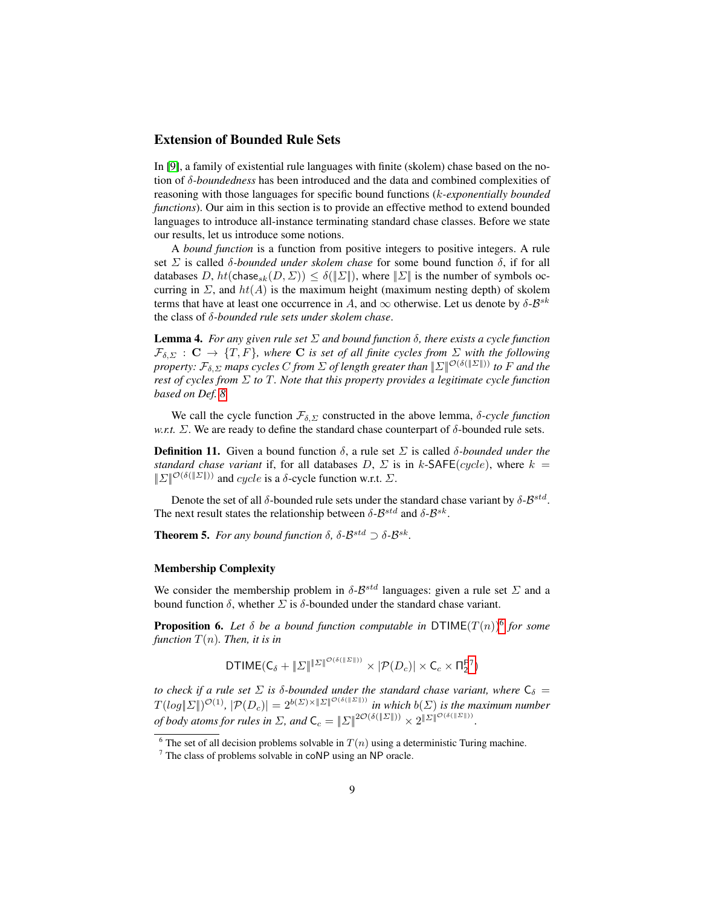## Extension of Bounded Rule Sets

In [\[9\]](#page-11-8), a family of existential rule languages with finite (skolem) chase based on the notion of δ*-boundedness* has been introduced and the data and combined complexities of reasoning with those languages for specific bound functions (k*-exponentially bounded functions*). Our aim in this section is to provide an effective method to extend bounded languages to introduce all-instance terminating standard chase classes. Before we state our results, let us introduce some notions.

A *bound function* is a function from positive integers to positive integers. A rule set  $\Sigma$  is called  $\delta$ -bounded under skolem chase for some bound function  $\delta$ , if for all databases D,  $ht(\text{chase}_{sk}(D, \Sigma)) \le \delta(\|\Sigma\|)$ , where  $\|\Sigma\|$  is the number of symbols occurring in  $\Sigma$ , and  $ht(A)$  is the maximum height (maximum nesting depth) of skolem terms that have at least one occurrence in A, and  $\infty$  otherwise. Let us denote by  $\delta$ - $\mathcal{B}^{sk}$ the class of δ*-bounded rule sets under skolem chase*.

Lemma 4. *For any given rule set* Σ *and bound function* δ*, there exists a cycle function*  $\mathcal{F}_{\delta,\Sigma}$  :  $\mathbf{C} \to \{T,F\}$ , where  $\mathbf{C}$  *is set of all finite cycles from*  $\Sigma$  *with the following property:*  $\mathcal{F}_{\delta,\Sigma}$  *maps cycles* C *from*  $\Sigma$  *of length greater than*  $\|\Sigma\|^{O(\delta(\|\Sigma\|))}$  *to* F *and the rest of cycles from* Σ *to* T*. Note that this property provides a legitimate cycle function based on Def. [8.](#page-7-5)*

We call the cycle function  $\mathcal{F}_{\delta,\Sigma}$  constructed in the above lemma,  $\delta$ -cycle function *w.r.t.*  $\Sigma$ . We are ready to define the standard chase counterpart of  $\delta$ -bounded rule sets.

**Definition 11.** Given a bound function  $\delta$ , a rule set  $\Sigma$  is called  $\delta$ -bounded under the *standard chase variant* if, for all databases  $D, \Sigma$  is in k-SAFE(cycle), where  $k =$  $||\Sigma||^{\mathcal{O}(\delta(||\Sigma||))}$  and cycle is a δ-cycle function w.r.t.  $\Sigma$ .

Denote the set of all  $\delta$ -bounded rule sets under the standard chase variant by  $\delta$ - $\mathcal{B}^{std}$ . The next result states the relationship between  $\delta$ - $\mathcal{B}^{std}$  and  $\delta$ - $\mathcal{B}^{sk}$ .

**Theorem 5.** *For any bound function*  $\delta$ ,  $\delta$ - $\mathcal{B}^{std} \supset \delta$ - $\mathcal{B}^{sk}$ .

#### Membership Complexity

We consider the membership problem in  $\delta$ - $\mathcal{B}^{std}$  languages: given a rule set  $\Sigma$  and a bound function  $\delta$ , whether  $\Sigma$  is  $\delta$ -bounded under the standard chase variant.

<span id="page-8-2"></span>**Proposition [6](#page-8-0).** Let  $\delta$  be a bound function computable in  $DTIME(T(n))^6$  for some *function*  $T(n)$ *. Then, it is in* 

DTIME
$$
(C_{\delta} + ||\Sigma||^{\|\Sigma\|^{O(\delta(||\Sigma||))}} \times |\mathcal{P}(D_c)| \times C_c \times \Pi_2^{P7})
$$

*to check if a rule set*  $\Sigma$  *is*  $\delta$ *-bounded under the standard chase variant, where*  $\mathsf{C}_{\delta}$  =  $T(log||\Sigma||)^{\mathcal{O}(1)}$ ,  $|\mathcal{P}(D_c)| = 2^{b(\Sigma) \times ||\Sigma||^{\mathcal{O}(\delta(||\Sigma||))}}$  *in which*  $b(\Sigma)$  *is the maximum number of body atoms for rules in*  $\Sigma$ *, and*  $C_c = \|\Sigma\|^{2O(\delta(\|\Sigma\|))} \times 2^{\|\Sigma\|^{O(\delta(\|\Sigma\|))}}$ .

<span id="page-8-0"></span><sup>&</sup>lt;sup>6</sup> The set of all decision problems solvable in  $T(n)$  using a deterministic Turing machine.

<span id="page-8-1"></span> $7$  The class of problems solvable in coNP using an NP oracle.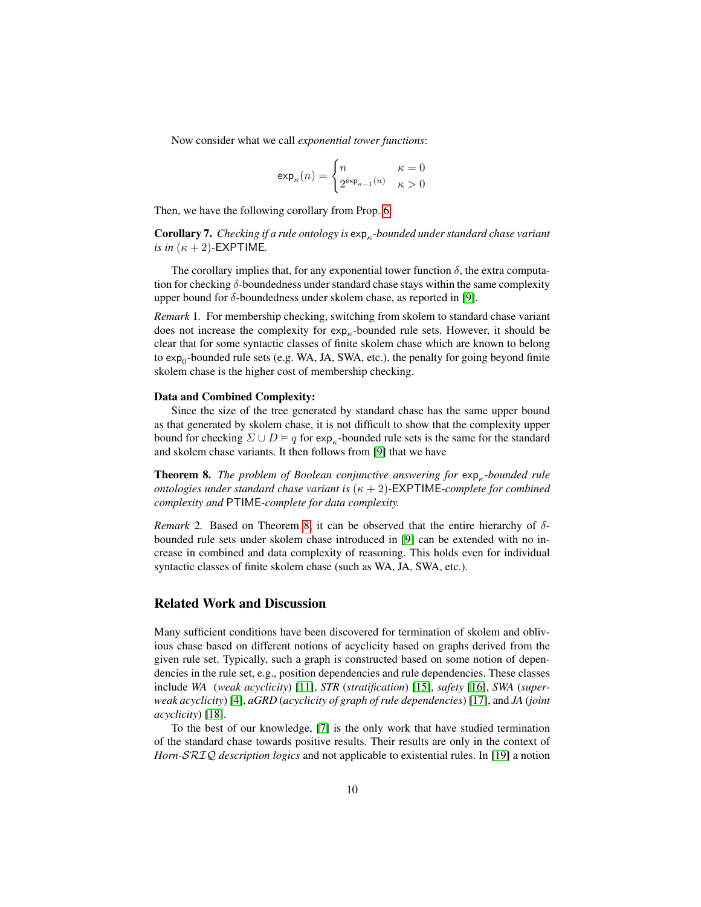Now consider what we call *exponential tower functions*:

$$
\exp_{\kappa}(n)=\begin{cases} n & \kappa=0\\ 2^{\exp_{\kappa-1}(n)} & \kappa>0 \end{cases}
$$

Then, we have the following corollary from Prop. [6:](#page-8-2)

**Corollary 7.** Checking if a rule ontology is  $exp<sub>κ</sub>$ -bounded under standard chase variant *is in*  $(\kappa + 2)$ -EXPTIME.

The corollary implies that, for any exponential tower function  $\delta$ , the extra computation for checking δ-boundedness under standard chase stays within the same complexity upper bound for  $\delta$ -boundedness under skolem chase, as reported in [\[9\]](#page-11-8).

*Remark* 1*.* For membership checking, switching from skolem to standard chase variant does not increase the complexity for  $exp_κ$ -bounded rule sets. However, it should be clear that for some syntactic classes of finite skolem chase which are known to belong to exp<sub>0</sub>-bounded rule sets (e.g. WA, JA, SWA, etc.), the penalty for going beyond finite skolem chase is the higher cost of membership checking.

#### Data and Combined Complexity:

Since the size of the tree generated by standard chase has the same upper bound as that generated by skolem chase, it is not difficult to show that the complexity upper bound for checking  $\Sigma \cup D \models q$  for exp<sub>k</sub>-bounded rule sets is the same for the standard and skolem chase variants. It then follows from [\[9\]](#page-11-8) that we have

<span id="page-9-0"></span>**Theorem 8.** *The problem of Boolean conjunctive answering for*  $exp<sub>κ</sub>$ -bounded rule *ontologies under standard chase variant is* (κ + 2)*-*EXPTIME*-complete for combined complexity and* PTIME*-complete for data complexity.*

*Remark* 2. Based on Theorem [8,](#page-9-0) it can be observed that the entire hierarchy of  $\delta$ bounded rule sets under skolem chase introduced in [\[9\]](#page-11-8) can be extended with no increase in combined and data complexity of reasoning. This holds even for individual syntactic classes of finite skolem chase (such as WA, JA, SWA, etc.).

### Related Work and Discussion

Many sufficient conditions have been discovered for termination of skolem and oblivious chase based on different notions of acyclicity based on graphs derived from the given rule set. Typically, such a graph is constructed based on some notion of dependencies in the rule set, e.g., position dependencies and rule dependencies. These classes include *WA* (*weak acyclicity*) [\[11\]](#page-11-10), *STR* (*stratification*) [\[15\]](#page-11-14), *safety* [\[16\]](#page-11-15), *SWA* (*superweak acyclicity*) [\[4\]](#page-11-3), *aGRD* (*acyclicity of graph of rule dependencies*) [\[17\]](#page-11-16), and *JA* (*joint acyclicity*) [\[18\]](#page-11-17).

To the best of our knowledge, [\[7\]](#page-11-6) is the only work that have studied termination of the standard chase towards positive results. Their results are only in the context of *Horn-*SRIQ *description logics* and not applicable to existential rules. In [\[19\]](#page-11-18) a notion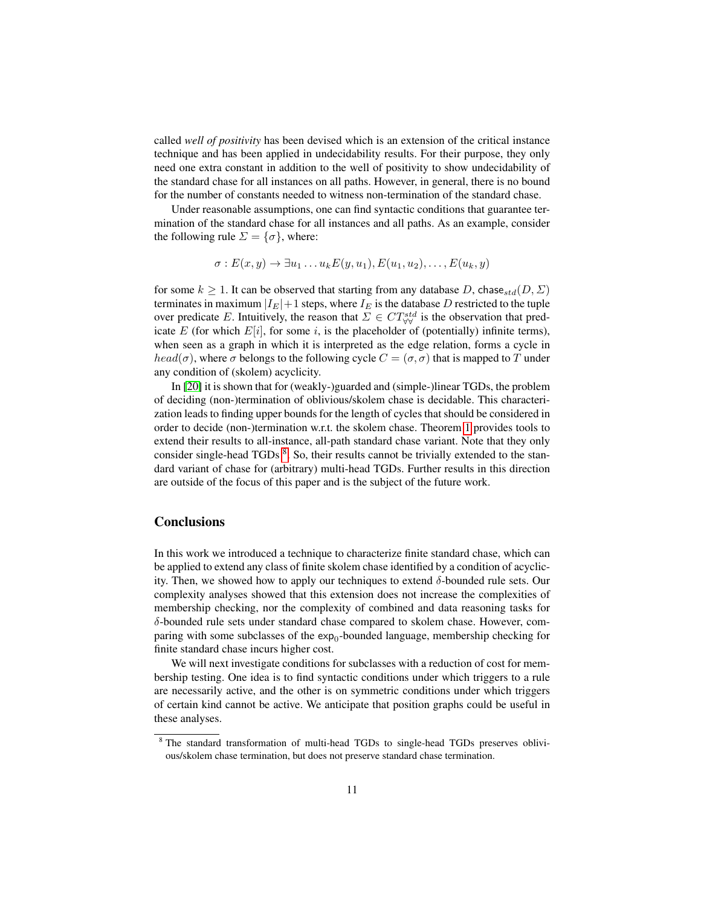called *well of positivity* has been devised which is an extension of the critical instance technique and has been applied in undecidability results. For their purpose, they only need one extra constant in addition to the well of positivity to show undecidability of the standard chase for all instances on all paths. However, in general, there is no bound for the number of constants needed to witness non-termination of the standard chase.

Under reasonable assumptions, one can find syntactic conditions that guarantee termination of the standard chase for all instances and all paths. As an example, consider the following rule  $\Sigma = {\sigma}$ , where:

$$
\sigma: E(x,y) \to \exists u_1 \dots u_k E(y,u_1), E(u_1,u_2), \dots, E(u_k,y)
$$

for some  $k \geq 1$ . It can be observed that starting from any database D, chase  $_{std}(D, \Sigma)$ terminates in maximum  $|I_E|+1$  steps, where  $I_E$  is the database D restricted to the tuple over predicate E. Intuitively, the reason that  $\Sigma \in CT^{std}_{\forall\forall}$  is the observation that predicate E (for which  $E[i]$ , for some i, is the placeholder of (potentially) infinite terms), when seen as a graph in which it is interpreted as the edge relation, forms a cycle in  $head(\sigma)$ , where  $\sigma$  belongs to the following cycle  $C = (\sigma, \sigma)$  that is mapped to T under any condition of (skolem) acyclicity.

In [\[20\]](#page-11-19) it is shown that for (weakly-)guarded and (simple-)linear TGDs, the problem of deciding (non-)termination of oblivious/skolem chase is decidable. This characterization leads to finding upper bounds for the length of cycles that should be considered in order to decide (non-)termination w.r.t. the skolem chase. Theorem [1](#page-7-0) provides tools to extend their results to all-instance, all-path standard chase variant. Note that they only consider single-head TGDs <sup>[8](#page-10-0)</sup>. So, their results cannot be trivially extended to the standard variant of chase for (arbitrary) multi-head TGDs. Further results in this direction are outside of the focus of this paper and is the subject of the future work.

### **Conclusions**

In this work we introduced a technique to characterize finite standard chase, which can be applied to extend any class of finite skolem chase identified by a condition of acyclicity. Then, we showed how to apply our techniques to extend δ-bounded rule sets. Our complexity analyses showed that this extension does not increase the complexities of membership checking, nor the complexity of combined and data reasoning tasks for δ-bounded rule sets under standard chase compared to skolem chase. However, comparing with some subclasses of the  $\exp_0$ -bounded language, membership checking for finite standard chase incurs higher cost.

We will next investigate conditions for subclasses with a reduction of cost for membership testing. One idea is to find syntactic conditions under which triggers to a rule are necessarily active, and the other is on symmetric conditions under which triggers of certain kind cannot be active. We anticipate that position graphs could be useful in these analyses.

<span id="page-10-0"></span><sup>8</sup> The standard transformation of multi-head TGDs to single-head TGDs preserves oblivious/skolem chase termination, but does not preserve standard chase termination.